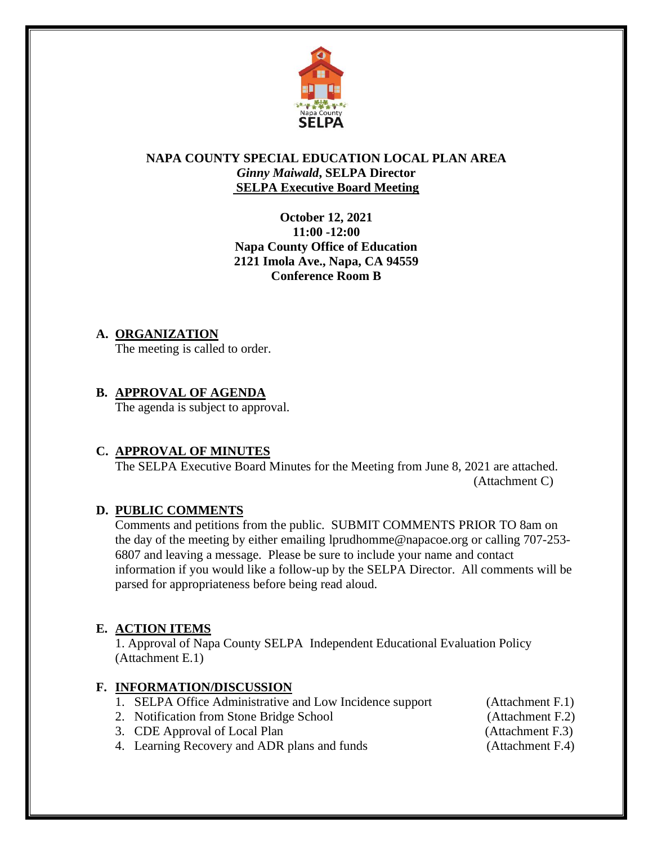

#### **NAPA COUNTY SPECIAL EDUCATION LOCAL PLAN AREA** *Ginny Maiwald***, SELPA Director SELPA Executive Board Meeting**

**October 12, 2021 11:00 -12:00 Napa County Office of Education 2121 Imola Ave., Napa, CA 94559 Conference Room B**

#### **A. ORGANIZATION**

The meeting is called to order.

### **B. APPROVAL OF AGENDA**

The agenda is subject to approval.

#### **C. APPROVAL OF MINUTES**

The SELPA Executive Board Minutes for the Meeting from June 8, 2021 are attached. (Attachment C)

#### **D. PUBLIC COMMENTS**

Comments and petitions from the public. SUBMIT COMMENTS PRIOR TO 8am on the day of the meeting by either emailing lprudhomme@napacoe.org or calling 707-253- 6807 and leaving a message. Please be sure to include your name and contact information if you would like a follow-up by the SELPA Director. All comments will be parsed for appropriateness before being read aloud.

#### **E. ACTION ITEMS**

1. Approval of Napa County SELPA Independent Educational Evaluation Policy (Attachment E.1)

#### **F. INFORMATION/DISCUSSION**

- 1. SELPA Office Administrative and Low Incidence support (Attachment F.1)
- 2. Notification from Stone Bridge School (Attachment F.2)
- 3. CDE Approval of Local Plan (Attachment F.3)

- 4. Learning Recovery and ADR plans and funds (Attachment F.4)
-